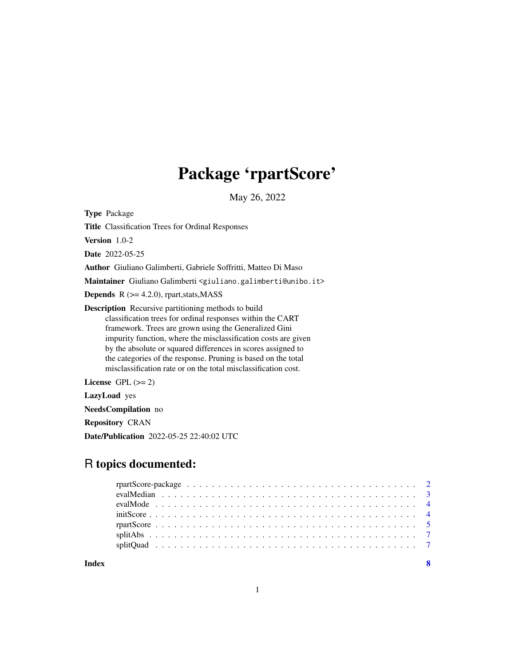## Package 'rpartScore'

May 26, 2022

<span id="page-0-0"></span>Type Package

Title Classification Trees for Ordinal Responses

Version 1.0-2

Date 2022-05-25

Author Giuliano Galimberti, Gabriele Soffritti, Matteo Di Maso

Maintainer Giuliano Galimberti <giuliano.galimberti@unibo.it>

**Depends**  $R$  ( $>= 4.2.0$ ), rpart, stats, MASS

Description Recursive partitioning methods to build classification trees for ordinal responses within the CART framework. Trees are grown using the Generalized Gini impurity function, where the misclassification costs are given by the absolute or squared differences in scores assigned to the categories of the response. Pruning is based on the total misclassification rate or on the total misclassification cost.

License GPL  $(>= 2)$ 

LazyLoad yes

NeedsCompilation no

Repository CRAN

Date/Publication 2022-05-25 22:40:02 UTC

### R topics documented:

**Index** [8](#page-7-0) **8**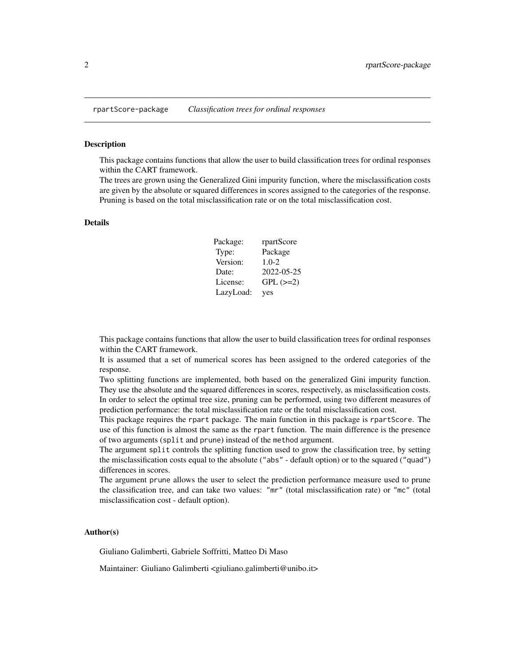#### <span id="page-1-0"></span>Description

This package contains functions that allow the user to build classification trees for ordinal responses within the CART framework.

The trees are grown using the Generalized Gini impurity function, where the misclassification costs are given by the absolute or squared differences in scores assigned to the categories of the response. Pruning is based on the total misclassification rate or on the total misclassification cost.

#### Details

| Package:  | rpartScore    |
|-----------|---------------|
| Type:     | Package       |
| Version:  | $1.0 - 2$     |
| Date:     | 2022-05-25    |
| License:  | $GPL$ $(>=2)$ |
| LazyLoad: | yes           |

This package contains functions that allow the user to build classification trees for ordinal responses within the CART framework.

It is assumed that a set of numerical scores has been assigned to the ordered categories of the response.

Two splitting functions are implemented, both based on the generalized Gini impurity function. They use the absolute and the squared differences in scores, respectively, as misclassification costs. In order to select the optimal tree size, pruning can be performed, using two different measures of prediction performance: the total misclassification rate or the total misclassification cost.

This package requires the rpart package. The main function in this package is rpartScore. The use of this function is almost the same as the rpart function. The main difference is the presence of two arguments (split and prune) instead of the method argument.

The argument split controls the splitting function used to grow the classification tree, by setting the misclassification costs equal to the absolute ("abs" - default option) or to the squared ("quad") differences in scores.

The argument prune allows the user to select the prediction performance measure used to prune the classification tree, and can take two values: "mr" (total misclassification rate) or "mc" (total misclassification cost - default option).

#### Author(s)

Giuliano Galimberti, Gabriele Soffritti, Matteo Di Maso

Maintainer: Giuliano Galimberti <giuliano.galimberti@unibo.it>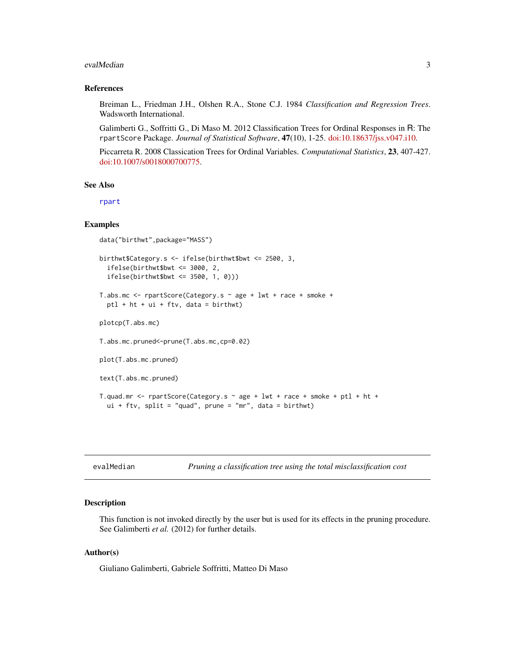#### <span id="page-2-0"></span>evalMedian 3

#### References

Breiman L., Friedman J.H., Olshen R.A., Stone C.J. 1984 *Classification and Regression Trees*. Wadsworth International.

Galimberti G., Soffritti G., Di Maso M. 2012 Classification Trees for Ordinal Responses in R: The rpartScore Package. *Journal of Statistical Software*, 47(10), 1-25. [doi:10.18637/jss.v047.i10.](https://doi.org/10.18637/jss.v047.i10)

Piccarreta R. 2008 Classication Trees for Ordinal Variables. *Computational Statistics*, 23, 407-427. [doi:10.1007/s0018000700775.](https://doi.org/10.1007/s00180-007-0077-5)

#### See Also

[rpart](#page-0-0)

#### Examples

```
data("birthwt",package="MASS")
birthwt$Category.s <- ifelse(birthwt$bwt <= 2500, 3,
  ifelse(birthwt$bwt <= 3000, 2,
  ifelse(birthwt$bwt <= 3500, 1, 0)))
T.abs.mc <- rpartScore(Category.s ~ age + lwt + race + smoke +
  ptl + ht + ui + ftv, data = birthwt)
plotcp(T.abs.mc)
T.abs.mc.pruned<-prune(T.abs.mc,cp=0.02)
plot(T.abs.mc.pruned)
text(T.abs.mc.pruned)
T.quad.mr <- rpartScore(Category.s \sim age + lwt + race + smoke + ptl + ht +
  ui + ftv, split = "quad", prune = "mr", data = birthwt)
```

| evalMedian |  |  |
|------------|--|--|

Pruning a classification tree using the total misclassification cost

#### **Description**

This function is not invoked directly by the user but is used for its effects in the pruning procedure. See Galimberti *et al.* (2012) for further details.

#### Author(s)

Giuliano Galimberti, Gabriele Soffritti, Matteo Di Maso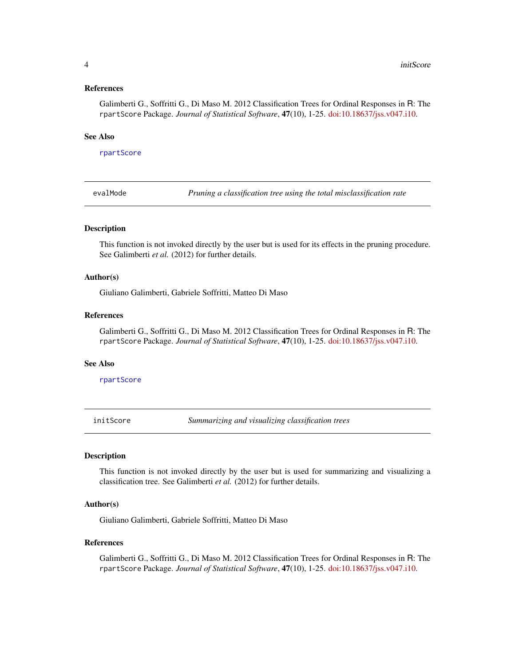#### <span id="page-3-0"></span>References

Galimberti G., Soffritti G., Di Maso M. 2012 Classification Trees for Ordinal Responses in R: The rpartScore Package. *Journal of Statistical Software*, 47(10), 1-25. [doi:10.18637/jss.v047.i10.](https://doi.org/10.18637/jss.v047.i10)

#### See Also

[rpartScore](#page-4-1)

evalMode *Pruning a classification tree using the total misclassification rate*

#### **Description**

This function is not invoked directly by the user but is used for its effects in the pruning procedure. See Galimberti *et al.* (2012) for further details.

#### Author(s)

Giuliano Galimberti, Gabriele Soffritti, Matteo Di Maso

#### References

Galimberti G., Soffritti G., Di Maso M. 2012 Classification Trees for Ordinal Responses in R: The rpartScore Package. *Journal of Statistical Software*, 47(10), 1-25. [doi:10.18637/jss.v047.i10.](https://doi.org/10.18637/jss.v047.i10)

#### See Also

[rpartScore](#page-4-1)

initScore *Summarizing and visualizing classification trees*

#### Description

This function is not invoked directly by the user but is used for summarizing and visualizing a classification tree. See Galimberti *et al.* (2012) for further details.

#### Author(s)

Giuliano Galimberti, Gabriele Soffritti, Matteo Di Maso

#### References

Galimberti G., Soffritti G., Di Maso M. 2012 Classification Trees for Ordinal Responses in R: The rpartScore Package. *Journal of Statistical Software*, 47(10), 1-25. [doi:10.18637/jss.v047.i10.](https://doi.org/10.18637/jss.v047.i10)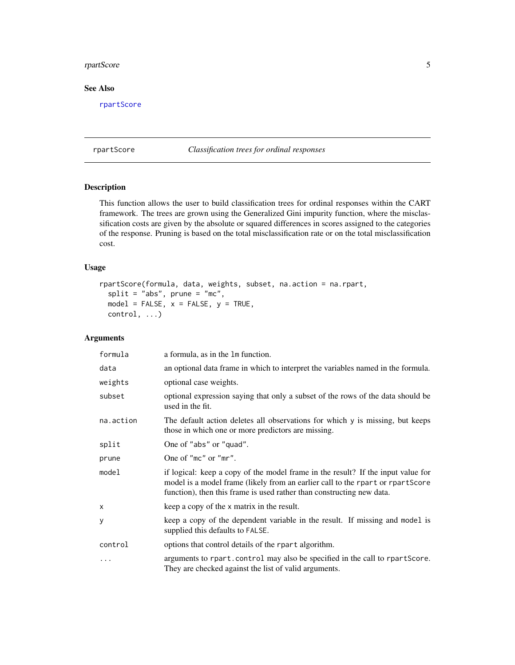#### <span id="page-4-0"></span>rpartScore 5

#### See Also

[rpartScore](#page-4-1)

<span id="page-4-1"></span>rpartScore *Classification trees for ordinal responses*

#### Description

This function allows the user to build classification trees for ordinal responses within the CART framework. The trees are grown using the Generalized Gini impurity function, where the misclassification costs are given by the absolute or squared differences in scores assigned to the categories of the response. Pruning is based on the total misclassification rate or on the total misclassification cost.

#### Usage

```
rpartScore(formula, data, weights, subset, na.action = na.rpart,
  split = "abs", prime = "mc",model = FALSE, x = FALSE, y = TRUE,control, ...)
```
#### Arguments

| formula   | a formula, as in the 1m function.                                                                                                                                                                                                           |
|-----------|---------------------------------------------------------------------------------------------------------------------------------------------------------------------------------------------------------------------------------------------|
| data      | an optional data frame in which to interpret the variables named in the formula.                                                                                                                                                            |
| weights   | optional case weights.                                                                                                                                                                                                                      |
| subset    | optional expression saying that only a subset of the rows of the data should be<br>used in the fit.                                                                                                                                         |
| na.action | The default action deletes all observations for which y is missing, but keeps<br>those in which one or more predictors are missing.                                                                                                         |
| split     | One of "abs" or "quad".                                                                                                                                                                                                                     |
| prune     | One of "mc" or "mr".                                                                                                                                                                                                                        |
| model     | if logical: keep a copy of the model frame in the result? If the input value for<br>model is a model frame (likely from an earlier call to the rpart or rpartScore<br>function), then this frame is used rather than constructing new data. |
| X         | keep a copy of the x matrix in the result.                                                                                                                                                                                                  |
| y         | keep a copy of the dependent variable in the result. If missing and model is<br>supplied this defaults to FALSE.                                                                                                                            |
| control   | options that control details of the rpart algorithm.                                                                                                                                                                                        |
| $\cdots$  | arguments to rpart.control may also be specified in the call to rpartScore.<br>They are checked against the list of valid arguments.                                                                                                        |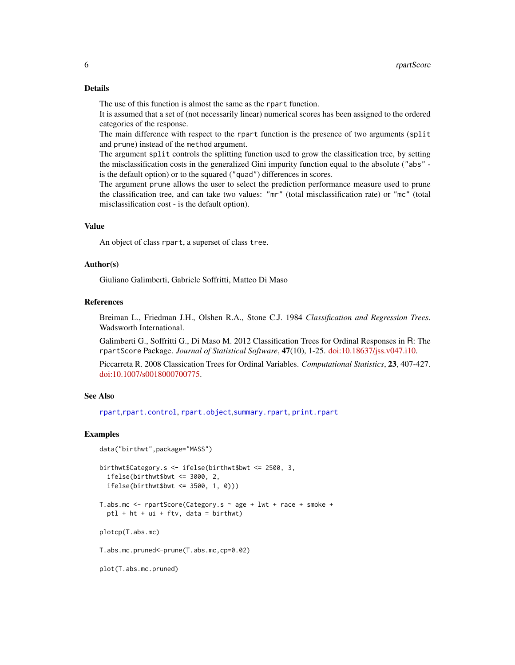#### <span id="page-5-0"></span>Details

The use of this function is almost the same as the rpart function.

It is assumed that a set of (not necessarily linear) numerical scores has been assigned to the ordered categories of the response.

The main difference with respect to the rpart function is the presence of two arguments (split and prune) instead of the method argument.

The argument split controls the splitting function used to grow the classification tree, by setting the misclassification costs in the generalized Gini impurity function equal to the absolute ("abs" is the default option) or to the squared ("quad") differences in scores.

The argument prune allows the user to select the prediction performance measure used to prune the classification tree, and can take two values: "mr" (total misclassification rate) or "mc" (total misclassification cost - is the default option).

#### Value

An object of class rpart, a superset of class tree.

#### Author(s)

Giuliano Galimberti, Gabriele Soffritti, Matteo Di Maso

#### References

Breiman L., Friedman J.H., Olshen R.A., Stone C.J. 1984 *Classification and Regression Trees*. Wadsworth International.

Galimberti G., Soffritti G., Di Maso M. 2012 Classification Trees for Ordinal Responses in R: The rpartScore Package. *Journal of Statistical Software*, 47(10), 1-25. [doi:10.18637/jss.v047.i10.](https://doi.org/10.18637/jss.v047.i10)

Piccarreta R. 2008 Classication Trees for Ordinal Variables. *Computational Statistics*, 23, 407-427. [doi:10.1007/s0018000700775.](https://doi.org/10.1007/s00180-007-0077-5)

#### See Also

[rpart](#page-0-0),[rpart.control](#page-0-0), [rpart.object](#page-0-0),[summary.rpart](#page-0-0), [print.rpart](#page-0-0)

#### Examples

```
data("birthwt",package="MASS")
```

```
birthwt$Category.s <- ifelse(birthwt$bwt <= 2500, 3,
 ifelse(birthwt$bwt <= 3000, 2,
 ifelse(birthwt$bwt <= 3500, 1, 0)))
T.abs.mc <- rpartScore(Category.s ~ age + lwt + race + smoke +
 ptl + ht + ui + ftv, data = birthwt)
plotcp(T.abs.mc)
```
T.abs.mc.pruned<-prune(T.abs.mc,cp=0.02)

plot(T.abs.mc.pruned)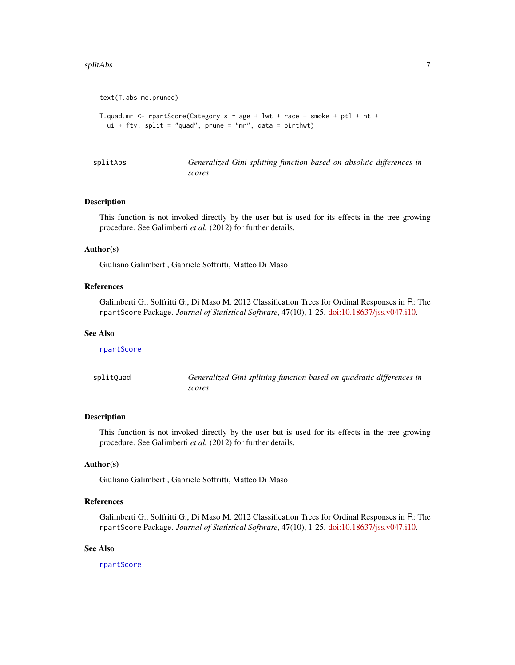#### <span id="page-6-0"></span>splitAbs  $\overline{7}$

```
text(T.abs.mc.pruned)
T.quad.mr <- rpartScore(Category.s \sim age + lwt + race + smoke + ptl + ht +
 ui + ftv, split = "quad", prune = "mr", data = birthwt)
```

|  | splitAbs |
|--|----------|
|  |          |

Generalized Gini splitting function based on absolute differences in *scores*

#### Description

This function is not invoked directly by the user but is used for its effects in the tree growing procedure. See Galimberti *et al.* (2012) for further details.

#### Author(s)

Giuliano Galimberti, Gabriele Soffritti, Matteo Di Maso

#### References

Galimberti G., Soffritti G., Di Maso M. 2012 Classification Trees for Ordinal Responses in R: The rpartScore Package. *Journal of Statistical Software*, 47(10), 1-25. [doi:10.18637/jss.v047.i10.](https://doi.org/10.18637/jss.v047.i10)

#### See Also

| rpartScore |                                                                                 |
|------------|---------------------------------------------------------------------------------|
| splitQuad  | Generalized Gini splitting function based on quadratic differences in<br>scores |

#### Description

This function is not invoked directly by the user but is used for its effects in the tree growing procedure. See Galimberti *et al.* (2012) for further details.

#### Author(s)

Giuliano Galimberti, Gabriele Soffritti, Matteo Di Maso

#### References

Galimberti G., Soffritti G., Di Maso M. 2012 Classification Trees for Ordinal Responses in R: The rpartScore Package. *Journal of Statistical Software*, 47(10), 1-25. [doi:10.18637/jss.v047.i10.](https://doi.org/10.18637/jss.v047.i10)

#### See Also

[rpartScore](#page-4-1)